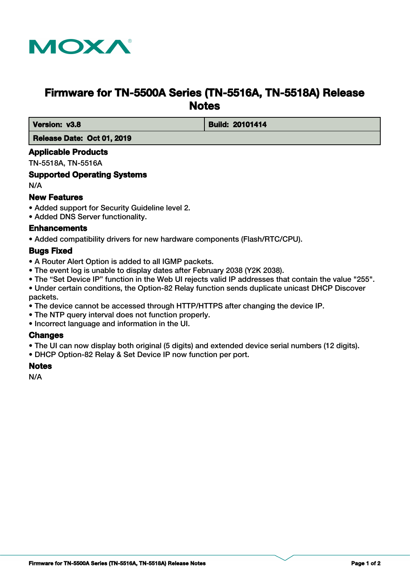

# **Firmware for TN-5500A Series (TN-5516A, TN-5518A) Release Notes**

 **Version: v3.8 Build: 20101414** 

 **Release Date: Oct 01, 2019**

### **Applicable Products**

TN-5518A, TN-5516A

## **Supported Operating Systems**

N/A

## **New Features**

- Added support for Security Guideline level 2.
- Added DNS Server functionality.

### **Enhancements**

• Added compatibility drivers for new hardware components (Flash/RTC/CPU).

### **Bugs Fixed**

- A Router Alert Option is added to all IGMP packets.
- The event log is unable to display dates after February 2038 (Y2K 2038).
- The "Set Device IP" function in the Web UI rejects valid IP addresses that contain the value "255".

• Under certain conditions, the Option-82 Relay function sends duplicate unicast DHCP Discover packets.

- The device cannot be accessed through HTTP/HTTPS after changing the device IP.
- The NTP query interval does not function properly.
- Incorrect language and information in the UI.

### **Changes**

- The UI can now display both original (5 digits) and extended device serial numbers (12 digits).
- DHCP Option-82 Relay & Set Device IP now function per port.

## **Notes**

N/A